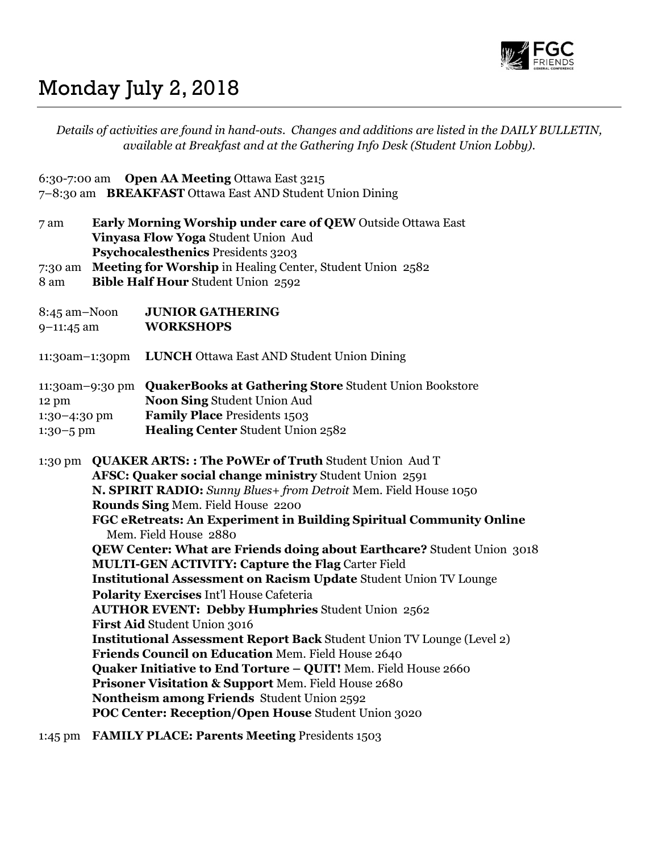

# Monday July 2, 2018

Details of activities are found in hand-outs. Changes and additions are listed in the DAILY BULLETIN, available at Breakfast and at the Gathering Info Desk (Student Union Lobby). 6:30-7:00 am Open AA Meeting Ottawa East 3215 7–8:30 am BREAKFAST Ottawa East AND Student Union Dining 7 am Early Morning Worship under care of QEW Outside Ottawa East Vinyasa Flow Yoga Student Union Aud Psychocalesthenics Presidents 3203 7:30 am Meeting for Worship in Healing Center, Student Union 2582 8 am Bible Half Hour Student Union 2592 8:45 am–Noon JUNIOR GATHERING 9–11:45 am WORKSHOPS 11:30am–1:30pm LUNCH Ottawa East AND Student Union Dining 11:30am–9:30 pm QuakerBooks at Gathering Store Student Union Bookstore 12 pm Noon Sing Student Union Aud 1:30–4:30 pm Family Place Presidents 1503 1:30–5 pm Healing Center Student Union 2582 1:30 pm QUAKER ARTS: : The PoWEr of Truth Student Union Aud T AFSC: Quaker social change ministry Student Union 2591 N. SPIRIT RADIO: Sunny Blues+ from Detroit Mem. Field House 1050 Rounds Sing Mem. Field House 2200 FGC eRetreats: An Experiment in Building Spiritual Community Online Mem. Field House 2880 QEW Center: What are Friends doing about Earthcare? Student Union 3018 MULTI-GEN ACTIVITY: Capture the Flag Carter Field Institutional Assessment on Racism Update Student Union TV Lounge Polarity Exercises Int'l House Cafeteria AUTHOR EVENT: Debby Humphries Student Union 2562 First Aid Student Union 3016 Institutional Assessment Report Back Student Union TV Lounge (Level 2) Friends Council on Education Mem. Field House 2640 Quaker Initiative to End Torture – QUIT! Mem. Field House 2660 Prisoner Visitation & Support Mem. Field House 2680 Nontheism among Friends Student Union 2592 POC Center: Reception/Open House Student Union 3020 1:45 pm FAMILY PLACE: Parents Meeting Presidents 1503